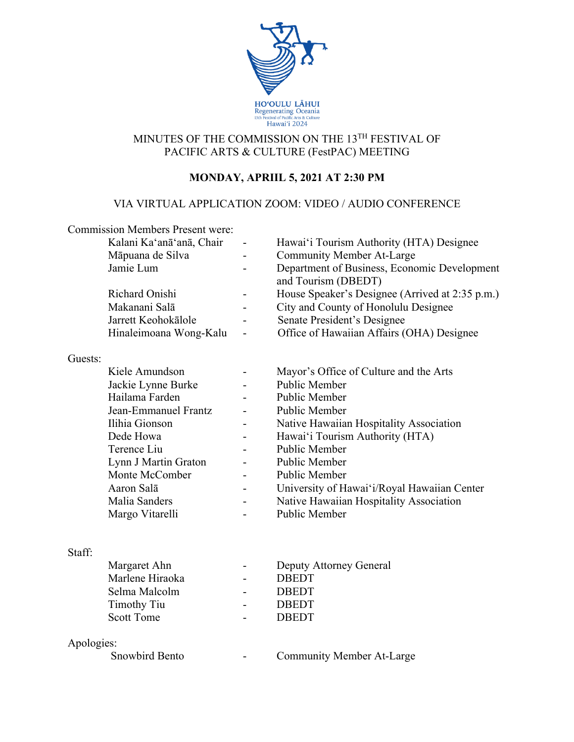

## MINUTES OF THE COMMISSION ON THE 13TH FESTIVAL OF PACIFIC ARTS & CULTURE (FestPAC) MEETING

# **MONDAY, APRIIL 5, 2021 AT 2:30 PM**

## VIA VIRTUAL APPLICATION ZOOM: VIDEO / AUDIO CONFERENCE

|            | <b>Commission Members Present were:</b> |                                                                     |
|------------|-----------------------------------------|---------------------------------------------------------------------|
|            | Kalani Ka'anā'anā, Chair                | Hawai'i Tourism Authority (HTA) Designee                            |
|            | Māpuana de Silva                        | <b>Community Member At-Large</b>                                    |
|            | Jamie Lum                               | Department of Business, Economic Development<br>and Tourism (DBEDT) |
|            | Richard Onishi                          | House Speaker's Designee (Arrived at 2:35 p.m.)                     |
|            | Makanani Salā                           | City and County of Honolulu Designee                                |
|            | Jarrett Keohokālole                     | Senate President's Designee                                         |
|            | Hinaleimoana Wong-Kalu                  | Office of Hawaiian Affairs (OHA) Designee                           |
| Guests:    |                                         |                                                                     |
|            | Kiele Amundson                          | Mayor's Office of Culture and the Arts                              |
|            | Jackie Lynne Burke                      | <b>Public Member</b>                                                |
|            | Hailama Farden                          | Public Member                                                       |
|            | Jean-Emmanuel Frantz                    | Public Member                                                       |
|            | Ilihia Gionson                          | Native Hawaiian Hospitality Association                             |
|            | Dede Howa                               | Hawai'i Tourism Authority (HTA)                                     |
|            | Terence Liu                             | Public Member                                                       |
|            | Lynn J Martin Graton                    | <b>Public Member</b>                                                |
|            | Monte McComber                          | Public Member                                                       |
|            | Aaron Salā                              | University of Hawai'i/Royal Hawaiian Center                         |
|            | Malia Sanders                           | Native Hawaiian Hospitality Association                             |
|            | Margo Vitarelli                         | Public Member                                                       |
|            |                                         |                                                                     |
| Staff:     |                                         |                                                                     |
|            | Margaret Ahn                            | Deputy Attorney General                                             |
|            | Marlene Hiraoka                         | <b>DBEDT</b>                                                        |
|            | Selma Malcolm                           | <b>DBEDT</b>                                                        |
|            | <b>Timothy Tiu</b>                      | <b>DBEDT</b>                                                        |
|            | <b>Scott Tome</b>                       | <b>DBEDT</b>                                                        |
| Apologies: |                                         |                                                                     |
|            | Snowbird Bento                          | <b>Community Member At-Large</b>                                    |
|            |                                         |                                                                     |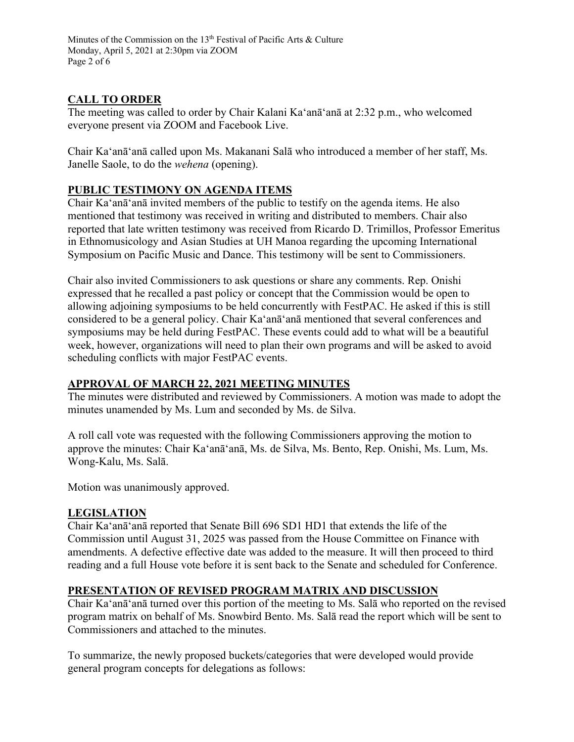Minutes of the Commission on the 13<sup>th</sup> Festival of Pacific Arts & Culture Monday, April 5, 2021 at 2:30pm via ZOOM Page 2 of 6

## **CALL TO ORDER**

The meeting was called to order by Chair Kalani Ka'anā'anā at 2:32 p.m., who welcomed everyone present via ZOOM and Facebook Live.

Chair Ka'anā'anā called upon Ms. Makanani Salā who introduced a member of her staff, Ms. Janelle Saole, to do the *wehena* (opening).

### **PUBLIC TESTIMONY ON AGENDA ITEMS**

Chair Ka'anā'anā invited members of the public to testify on the agenda items. He also mentioned that testimony was received in writing and distributed to members. Chair also reported that late written testimony was received from Ricardo D. Trimillos, Professor Emeritus in Ethnomusicology and Asian Studies at UH Manoa regarding the upcoming International Symposium on Pacific Music and Dance. This testimony will be sent to Commissioners.

Chair also invited Commissioners to ask questions or share any comments. Rep. Onishi expressed that he recalled a past policy or concept that the Commission would be open to allowing adjoining symposiums to be held concurrently with FestPAC. He asked if this is still considered to be a general policy. Chair Ka'anā'anā mentioned that several conferences and symposiums may be held during FestPAC. These events could add to what will be a beautiful week, however, organizations will need to plan their own programs and will be asked to avoid scheduling conflicts with major FestPAC events.

#### **APPROVAL OF MARCH 22, 2021 MEETING MINUTES**

The minutes were distributed and reviewed by Commissioners. A motion was made to adopt the minutes unamended by Ms. Lum and seconded by Ms. de Silva.

A roll call vote was requested with the following Commissioners approving the motion to approve the minutes: Chair Ka'anā'anā, Ms. de Silva, Ms. Bento, Rep. Onishi, Ms. Lum, Ms. Wong-Kalu, Ms. Salā.

Motion was unanimously approved.

#### **LEGISLATION**

Chair Ka'anā'anā reported that Senate Bill 696 SD1 HD1 that extends the life of the Commission until August 31, 2025 was passed from the House Committee on Finance with amendments. A defective effective date was added to the measure. It will then proceed to third reading and a full House vote before it is sent back to the Senate and scheduled for Conference.

#### **PRESENTATION OF REVISED PROGRAM MATRIX AND DISCUSSION**

Chair Ka'anā'anā turned over this portion of the meeting to Ms. Salā who reported on the revised program matrix on behalf of Ms. Snowbird Bento. Ms. Salā read the report which will be sent to Commissioners and attached to the minutes.

To summarize, the newly proposed buckets/categories that were developed would provide general program concepts for delegations as follows: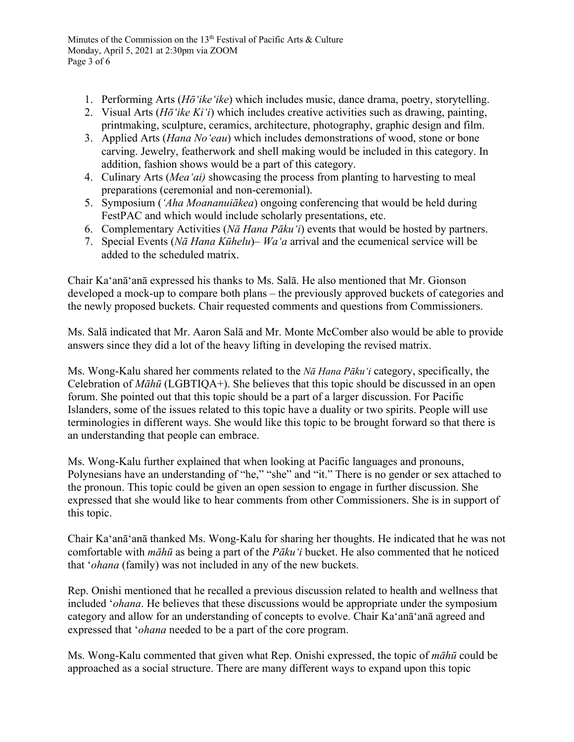- 1. Performing Arts (*Hōʻikeʻike*) which includes music, dance drama, poetry, storytelling.
- 2. Visual Arts (*Hōʻike Kiʻi*) which includes creative activities such as drawing, painting, printmaking, sculpture, ceramics, architecture, photography, graphic design and film.
- 3. Applied Arts (*Hana Noʻeau*) which includes demonstrations of wood, stone or bone carving. Jewelry, featherwork and shell making would be included in this category. In addition, fashion shows would be a part of this category.
- 4. Culinary Arts (*Meaʻai)* showcasing the process from planting to harvesting to meal preparations (ceremonial and non-ceremonial).
- 5. Symposium (*ʻAha Moananuiākea*) ongoing conferencing that would be held during FestPAC and which would include scholarly presentations, etc.
- 6. Complementary Activities (*Nā Hana Pākuʻi*) events that would be hosted by partners.
- 7. Special Events (*Nā Hana Kūhelu*)– *Waʻa* arrival and the ecumenical service will be added to the scheduled matrix.

Chair Ka'anā'anā expressed his thanks to Ms. Salā. He also mentioned that Mr. Gionson developed a mock-up to compare both plans – the previously approved buckets of categories and the newly proposed buckets. Chair requested comments and questions from Commissioners.

Ms. Salā indicated that Mr. Aaron Salā and Mr. Monte McComber also would be able to provide answers since they did a lot of the heavy lifting in developing the revised matrix.

Ms. Wong-Kalu shared her comments related to the *Nā Hana Pākuʻi* category, specifically, the Celebration of *Māhū* (LGBTIQA+). She believes that this topic should be discussed in an open forum. She pointed out that this topic should be a part of a larger discussion. For Pacific Islanders, some of the issues related to this topic have a duality or two spirits. People will use terminologies in different ways. She would like this topic to be brought forward so that there is an understanding that people can embrace.

Ms. Wong-Kalu further explained that when looking at Pacific languages and pronouns, Polynesians have an understanding of "he," "she" and "it." There is no gender or sex attached to the pronoun. This topic could be given an open session to engage in further discussion. She expressed that she would like to hear comments from other Commissioners. She is in support of this topic.

Chair Ka'anā'anā thanked Ms. Wong-Kalu for sharing her thoughts. He indicated that he was not comfortable with *māhū* as being a part of the *Pākuʻi* bucket. He also commented that he noticed that '*ohana* (family) was not included in any of the new buckets.

Rep. Onishi mentioned that he recalled a previous discussion related to health and wellness that included '*ohana*. He believes that these discussions would be appropriate under the symposium category and allow for an understanding of concepts to evolve. Chair Ka'anā'anā agreed and expressed that '*ohana* needed to be a part of the core program.

Ms. Wong-Kalu commented that given what Rep. Onishi expressed, the topic of *māhū* could be approached as a social structure. There are many different ways to expand upon this topic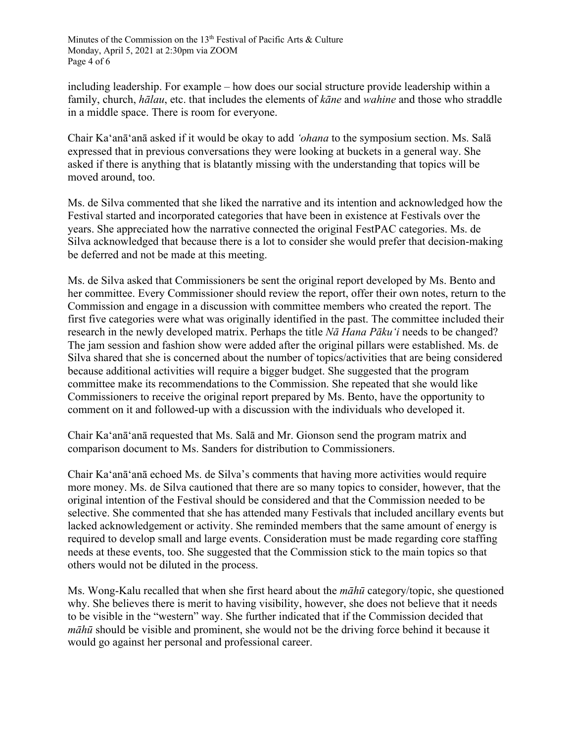including leadership. For example – how does our social structure provide leadership within a family, church, *hālau*, etc. that includes the elements of *kāne* and *wahine* and those who straddle in a middle space. There is room for everyone.

Chair Ka'anā'anā asked if it would be okay to add *'ohana* to the symposium section. Ms. Salā expressed that in previous conversations they were looking at buckets in a general way. She asked if there is anything that is blatantly missing with the understanding that topics will be moved around, too.

Ms. de Silva commented that she liked the narrative and its intention and acknowledged how the Festival started and incorporated categories that have been in existence at Festivals over the years. She appreciated how the narrative connected the original FestPAC categories. Ms. de Silva acknowledged that because there is a lot to consider she would prefer that decision-making be deferred and not be made at this meeting.

Ms. de Silva asked that Commissioners be sent the original report developed by Ms. Bento and her committee. Every Commissioner should review the report, offer their own notes, return to the Commission and engage in a discussion with committee members who created the report. The first five categories were what was originally identified in the past. The committee included their research in the newly developed matrix. Perhaps the title *Nā Hana Pākuʻi* needs to be changed? The jam session and fashion show were added after the original pillars were established. Ms. de Silva shared that she is concerned about the number of topics/activities that are being considered because additional activities will require a bigger budget. She suggested that the program committee make its recommendations to the Commission. She repeated that she would like Commissioners to receive the original report prepared by Ms. Bento, have the opportunity to comment on it and followed-up with a discussion with the individuals who developed it.

Chair Ka'anā'anā requested that Ms. Salā and Mr. Gionson send the program matrix and comparison document to Ms. Sanders for distribution to Commissioners.

Chair Ka'anā'anā echoed Ms. de Silva's comments that having more activities would require more money. Ms. de Silva cautioned that there are so many topics to consider, however, that the original intention of the Festival should be considered and that the Commission needed to be selective. She commented that she has attended many Festivals that included ancillary events but lacked acknowledgement or activity. She reminded members that the same amount of energy is required to develop small and large events. Consideration must be made regarding core staffing needs at these events, too. She suggested that the Commission stick to the main topics so that others would not be diluted in the process.

Ms. Wong-Kalu recalled that when she first heard about the *māhū* category/topic, she questioned why. She believes there is merit to having visibility, however, she does not believe that it needs to be visible in the "western" way. She further indicated that if the Commission decided that *māhū* should be visible and prominent, she would not be the driving force behind it because it would go against her personal and professional career.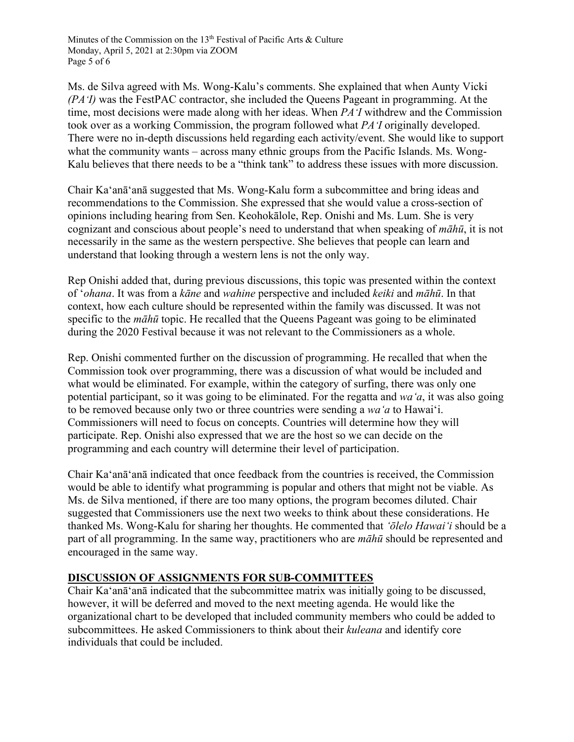Minutes of the Commission on the 13<sup>th</sup> Festival of Pacific Arts & Culture Monday, April 5, 2021 at 2:30pm via ZOOM Page 5 of 6

Ms. de Silva agreed with Ms. Wong-Kalu's comments. She explained that when Aunty Vicki *(PAʻI)* was the FestPAC contractor, she included the Queens Pageant in programming. At the time, most decisions were made along with her ideas. When *PAʻI* withdrew and the Commission took over as a working Commission, the program followed what *PAʻI* originally developed. There were no in-depth discussions held regarding each activity/event. She would like to support what the community wants – across many ethnic groups from the Pacific Islands. Ms. Wong-Kalu believes that there needs to be a "think tank" to address these issues with more discussion.

Chair Ka'anā'anā suggested that Ms. Wong-Kalu form a subcommittee and bring ideas and recommendations to the Commission. She expressed that she would value a cross-section of opinions including hearing from Sen. Keohokālole, Rep. Onishi and Ms. Lum. She is very cognizant and conscious about people's need to understand that when speaking of *māhū*, it is not necessarily in the same as the western perspective. She believes that people can learn and understand that looking through a western lens is not the only way.

Rep Onishi added that, during previous discussions, this topic was presented within the context of ʻ*ohana*. It was from a *kāne* and *wahine* perspective and included *keiki* and *māhū*. In that context, how each culture should be represented within the family was discussed. It was not specific to the *māhū* topic. He recalled that the Queens Pageant was going to be eliminated during the 2020 Festival because it was not relevant to the Commissioners as a whole.

Rep. Onishi commented further on the discussion of programming. He recalled that when the Commission took over programming, there was a discussion of what would be included and what would be eliminated. For example, within the category of surfing, there was only one potential participant, so it was going to be eliminated. For the regatta and *waʻa*, it was also going to be removed because only two or three countries were sending a *waʻa* to Hawaiʻi. Commissioners will need to focus on concepts. Countries will determine how they will participate. Rep. Onishi also expressed that we are the host so we can decide on the programming and each country will determine their level of participation.

Chair Ka'anā'anā indicated that once feedback from the countries is received, the Commission would be able to identify what programming is popular and others that might not be viable. As Ms. de Silva mentioned, if there are too many options, the program becomes diluted. Chair suggested that Commissioners use the next two weeks to think about these considerations. He thanked Ms. Wong-Kalu for sharing her thoughts. He commented that *ʻōlelo Hawaiʻi* should be a part of all programming. In the same way, practitioners who are *māhū* should be represented and encouraged in the same way.

## **DISCUSSION OF ASSIGNMENTS FOR SUB-COMMITTEES**

Chair Ka'anā'anā indicated that the subcommittee matrix was initially going to be discussed, however, it will be deferred and moved to the next meeting agenda. He would like the organizational chart to be developed that included community members who could be added to subcommittees. He asked Commissioners to think about their *kuleana* and identify core individuals that could be included.